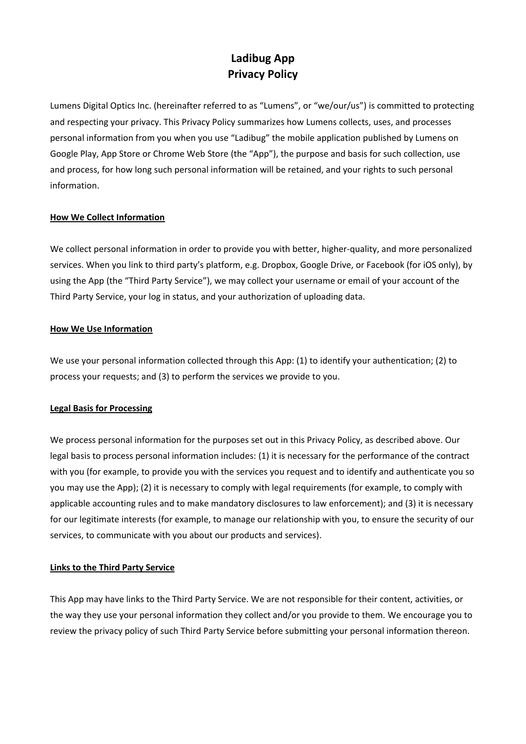# **Ladibug App Privacy Policy**

Lumens Digital Optics Inc. (hereinafter referred to as "Lumens", or "we/our/us") is committed to protecting and respecting your privacy. This Privacy Policy summarizes how Lumens collects, uses, and processes personal information from you when you use "Ladibug" the mobile application published by Lumens on Google Play, App Store or Chrome Web Store (the "App"), the purpose and basis for such collection, use and process, for how long such personal information will be retained, and your rights to such personal information.

## **How We Collect Information**

We collect personal information in order to provide you with better, higher-quality, and more personalized services. When you link to third party's platform, e.g. Dropbox, Google Drive, or Facebook (for iOS only), by using the App (the "Third Party Service"), we may collect your username or email of your account of the Third Party Service, your log in status, and your authorization of uploading data.

## **How We Use Information**

We use your personal information collected through this App: (1) to identify your authentication; (2) to process your requests; and (3) to perform the services we provide to you.

# **Legal Basis for Processing**

We process personal information for the purposes set out in this Privacy Policy, as described above. Our legal basis to process personal information includes: (1) it is necessary for the performance of the contract with you (for example, to provide you with the services you request and to identify and authenticate you so you may use the App); (2) it is necessary to comply with legal requirements (for example, to comply with applicable accounting rules and to make mandatory disclosures to law enforcement); and (3) it is necessary for our legitimate interests (for example, to manage our relationship with you, to ensure the security of our services, to communicate with you about our products and services).

# **Links to the Third Party Service**

This App may have links to the Third Party Service. We are not responsible for their content, activities, or the way they use your personal information they collect and/or you provide to them. We encourage you to review the privacy policy of such Third Party Service before submitting your personal information thereon.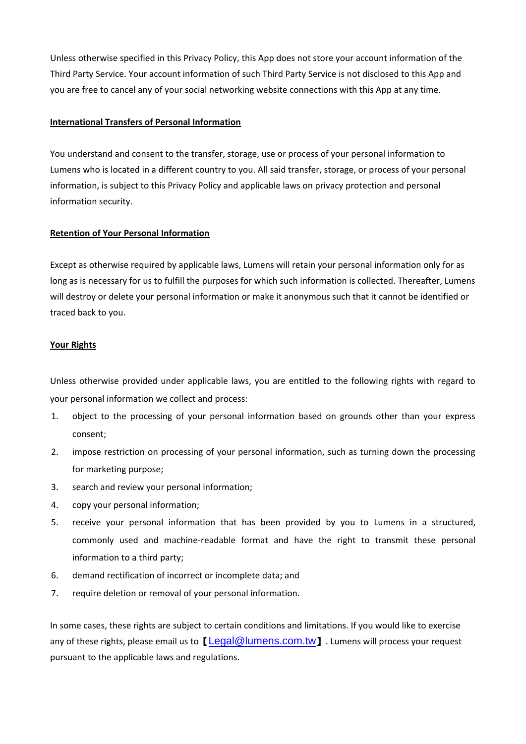Unless otherwise specified in this Privacy Policy, this App does not store your account information of the Third Party Service. Your account information of such Third Party Service is not disclosed to this App and you are free to cancel any of your social networking website connections with this App at any time.

#### **International Transfers of Personal Information**

You understand and consent to the transfer, storage, use or process of your personal information to Lumens who is located in a different country to you. All said transfer, storage, or process of your personal information, is subject to this Privacy Policy and applicable laws on privacy protection and personal information security.

#### **Retention of Your Personal Information**

Except as otherwise required by applicable laws, Lumens will retain your personal information only for as long as is necessary for us to fulfill the purposes for which such information is collected. Thereafter, Lumens will destroy or delete your personal information or make it anonymous such that it cannot be identified or traced back to you.

#### **Your Rights**

Unless otherwise provided under applicable laws, you are entitled to the following rights with regard to your personal information we collect and process:

- 1. object to the processing of your personal information based on grounds other than your express consent;
- 2. impose restriction on processing of your personal information, such as turning down the processing for marketing purpose;
- 3. search and review your personal information;
- 4. copy your personal information;
- 5. receive your personal information that has been provided by you to Lumens in a structured, commonly used and machine-readable format and have the right to transmit these personal information to a third party;
- 6. demand rectification of incorrect or incomplete data; and
- 7. require deletion or removal of your personal information.

In some cases, these rights are subject to certain conditions and limitations. If you would like to exercise any of these rights, please email us to **[[Legal@lumens.com.tw](mailto:Legal@lumens.com.tw)]**. Lumens will process your request pursuant to the applicable laws and regulations.